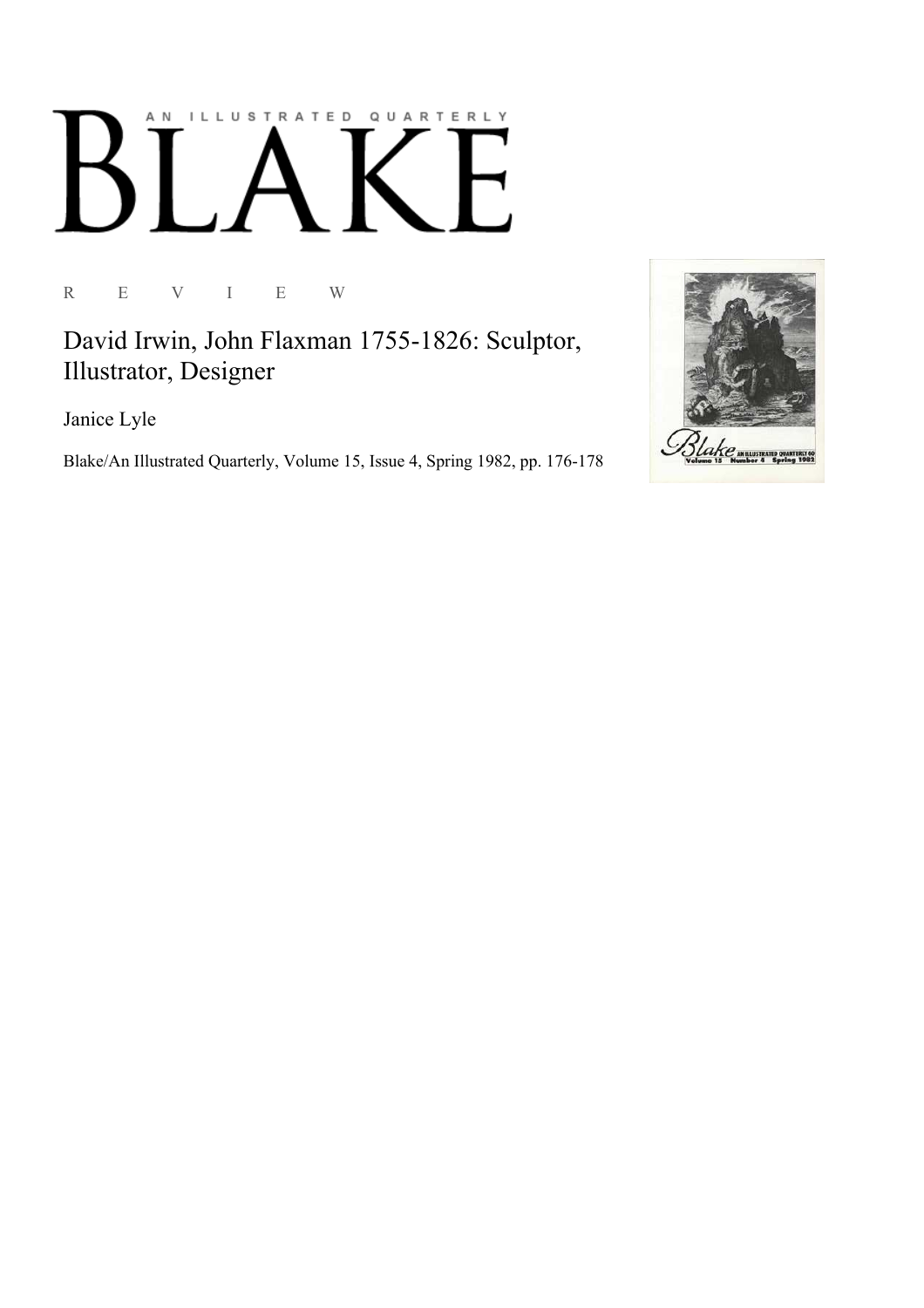## ILLUSTRATED QUARTERLY A N

R E V I E W

David Irwin, John Flaxman 1755-1826: Sculptor, Illustrator, Designer

Janice Lyle

Blake/An Illustrated Quarterly, Volume 15, Issue 4, Spring 1982, pp. 176-178

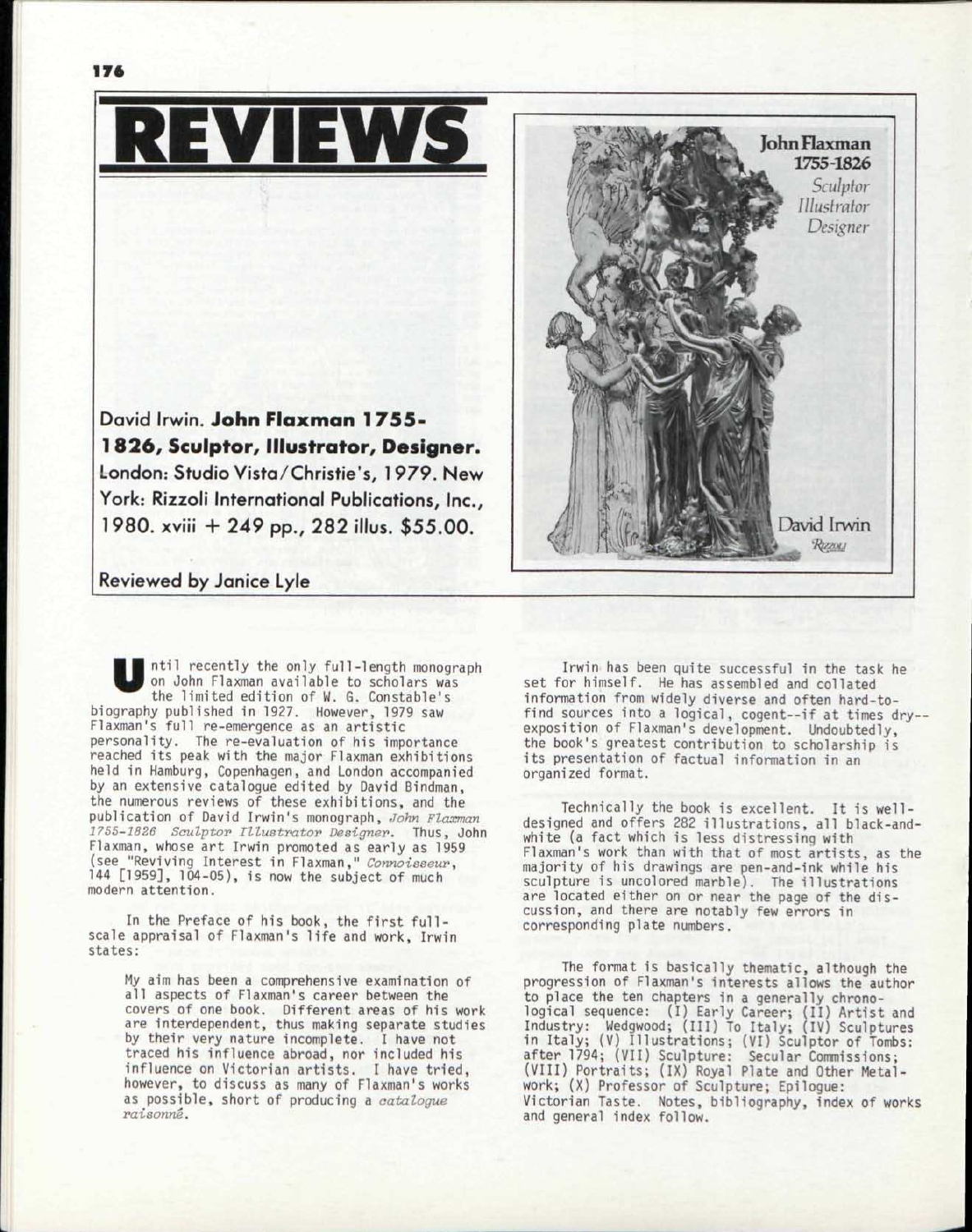

## Reviewed by Janice Lyle

U ntil recently the only full-length monograph on John Flaxman available to scholars was the limited edition of W. G. Constable's biography published in 1927. However, 1979 saw Flaxman's full re-emergence as an artistic personality. The re-evaluation of his importance reached its peak with the major Flaxman exhibitions held in Hamburg, Copenhagen, and London accompanied by an extensive catalogue edited by David Bindman, the numerous reviews of these exhibitions, and the publication of David Irwin's monograph, *John Flaxman 2755-2826 Soulptor Illustrator Designer.* Thus, John Flaxman, whose art Irwin promoted as early as 1959 (see "Reviving Interest in Flaxman," *Connoisseur,*   $144$   $[1959]$ ,  $104-05$ , is now the subject of much modern attention.

In the Preface of his book, the first fullscale appraisal of Flaxman's life and work, Irwin states:

My aim has been a comprehensive examination of all aspects of Flaxman's career between the covers of one book. Different areas of his work are interdependent, thus making separate studies by their *very* nature incomplete. I have not traced his influence abroad, nor included his influence on Victorian artists. I have tried, however, to discuss as many of Flaxman's works as possible, short of producing a *catalogue raisonne.* 



Irwin has been quite successful in the task he set for himself. He has assembled and collated information from widely diverse and often hard-tofind sources into a logical, cogent--if at times dry-exposition of Flaxman's development. Undoubtedly, the book's greatest contribution to scholarship is its presentation of factual information in an organized format.

Technically the book is excellent. It is welldesigned and offers 282 illustrations, all black-andwhite (a fact which is less distressing with Flaxman's work than with that of most artists, as the majority of his drawings are pen-and-ink while his sculpture is uncolored marble). The illustrations are located either on or near the page of the discussion, and there are notably few errors in corresponding plate numbers.

The format is basically thematic, although the progression of Flaxman's interests allows the author to place the ten chapters in a generally chronological sequence: (I) Early Career; ( Industry: Wedgwood; (III) To Italy; ( in Italy; (V) Illustrations; (VI) Scul after 1794; (VII) Sculpture: Secular Commissions; (VIII) Portraits; (IX) Royal Plate and Other Metalwork; (X) Professor of Sculpture; Epilogue: Victorian Taste. Notes, bibliography, index of works and general index follow. II) Artist and IV) Sculptures ptor of Tombs: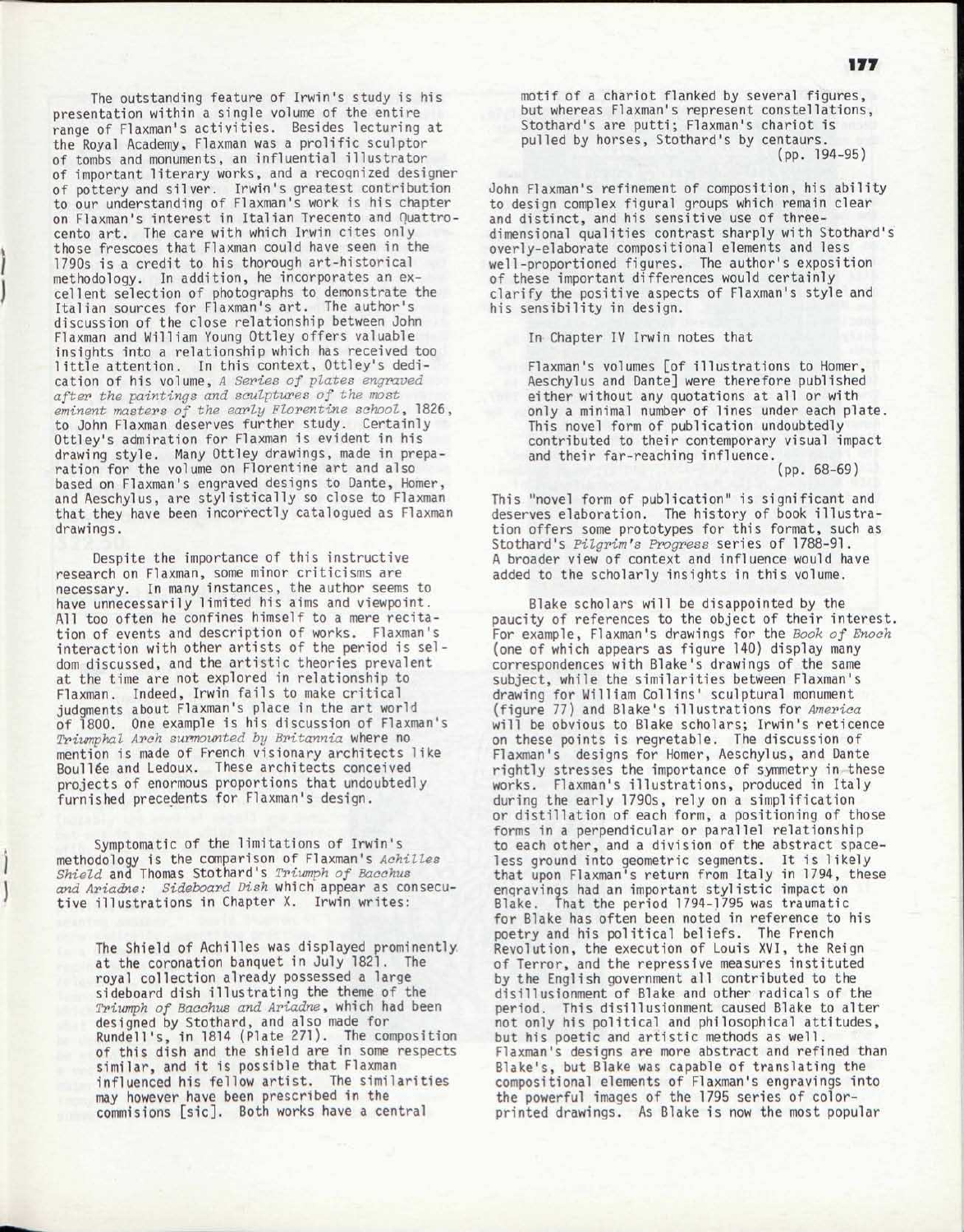The outstanding feature of Irwin's study is his presentation within a single volume of the entire range of Flaxman's activities. Besides lecturing at the Royal Academy, Flaxman was a prolific sculptor of tombs and monuments, an influential illustrator of important literary works, and a recognized designer of pottery and silver. Irwin's greatest contribution to our understanding of Flaxman's work is his chapter on Flaxman's interest in Italian Trecento and Quattrocento art. The care with which Irwin cites only those frescoes that Flaxman could have seen in the 1790s is a credit to his thorough art-historical methodology. In addition, he incorporates an excellent selection of photographs to demonstrate the Italian sources for Flaxman's art. The author's discussion of the close relationship between John Flaxman and William Young Ottley offers valuable insights into a relationship which has received too little attention. In this context, Ottley's dedication of his volume, *A Series of plates engraved after the paintings and sculptures of the most eminent masters of the early Florentine school,* 1826, to John Flaxman deserves further study. Certainly Ottley's admiration for Flaxman is evident in his drawing style. Many Ottley drawings, made in preparation for the volume on Florentine art and also based on Flaxman's engraved designs to Dante, Homer, and Aeschylus, are stylistically so close to Flaxman that they have been incorrectly catalogued as Flaxman drawings.

Despite the importance of this instructive research on Flaxman, some minor criticisms are necessary. In many instances, the author seems to have unnecessarily limited his aims and viewpoint. All too often he confines himself to a mere recitation of events and description of works. Flaxman's interaction with other artists of the period is seldom discussed, and the artistic theories prevalent at the time are not explored in relationship to Flaxman. Indeed, Irwin fails to make critical judgments about Flaxman's place in the art world of 1800. One example is his discussion of Flaxman's *Triumphal Arch surmounted by Britannia* where no mention is made of French visionary architects like Boull6e and Ledoux. These architects conceived projects of enormous proportions that undoubtedly furnished precedents for Flaxman's design.

Symptomatic of the limitations of Irwin's methodology is the comparison of Flaxman's *Achilles Shield* and Thomas Stothard's *Triumph of Bacchus and Ariadne; Sideboard Dish* which appear as consecutive illustrations in Chapter X. Irwin writes:

The Shield of Achilles was displayed prominently at the coronation banquet in July 1821. The royal collection already possessed a large sideboard dish illustrating the theme of the *Triumph of Bacchus and Ariadne* , which had been designed by Stothard, and also made for Rundell's, in 1814 (Plate 271). The composition of this dish and the shield are in some respects similar, and it is possible that Flaxman influenced his fellow artist. The similarities may however have been prescribed in the commisions [sic]. Both works have a central

motif of a chariot flanked by several figures , but whereas Flaxman's represent constellations, Stothard's are putti; Flaxman's chariot is pulled by horses, Stothard's by centaurs. (pp. 194-95)

John Flaxman's refinement of composition, his ability to design complex figural groups which remain clear and distinct, and his sensitive use of threedimensional qualities contrast sharply with Stothard's overly-elaborate compositional elements and less well-proportioned figures. The author's exposition of these important differences would certainly clarify the positive aspects of Flaxman's style and his sensibility in design.

In Chapter IV Irwin notes that

Flaxman's volumes [of illustrations to Homer, Aeschylus and Dante] were therefore published either without any quotations at all or with only a minimal number of lines under each plate. This novel form of publication undoubtedly contributed to their contemporary visual impact and their far-reaching influence. (pp. 68-69)

This "novel form of publication" is significant and deserves elaboration. The history of book illustration offers some prototypes for this format, such as Stothard's *Pilgrim's Progress* series of 1788-91. A broader view of context and influence would have added to the scholarly insights in this volume.

Blake scholars will be disappointed by the paucity of references to the object of their interest. For example, Flaxman's drawings for the *Book of Enoch*  (one of which appears as figure 140) display many correspondences with Blake's drawings of the same subject, while the similarities between Flaxman's drawing for William Collins' sculptural monument (figure 77) and Blake's illustrations for America will be obvious to Blake scholars; Irwin's reticence on these points is regretable. The discussion of Flaxman's designs for Homer, Aeschylus, and Dante rightly stresses the importance of symmetry in these works. Flaxman's illustrations, produced in Italy during the early 1790s, rely on a simplification or distillation of each form, a positioning of those forms in a perpendicular or parallel relationship to each other, and a division of the abstract spaceless ground into geometric segments. It is likely that upon Flaxman's return from Italy in 1794, these engravings had an important stylistic impact on Blake. That the period 1794-1795 was traumatic for Blake has often been noted in reference to his poetry and his political beliefs. The French Revolution, the execution of Louis XVI, the Reign of Terror, and the repressive measures instituted by the English government all contributed to the disillusionment of Blake and other radicals of the period. This disillusionment caused Blake to alter not only his political and philosophical attitudes, but his poetic and artistic methods as well. Flaxman's designs are more abstract and refined than Blake's, but Blake was capable of translating the compositional elements of Flaxman's engravings into the powerful images of the 1795 series of colorprinted drawings. As Blake is now the most popular